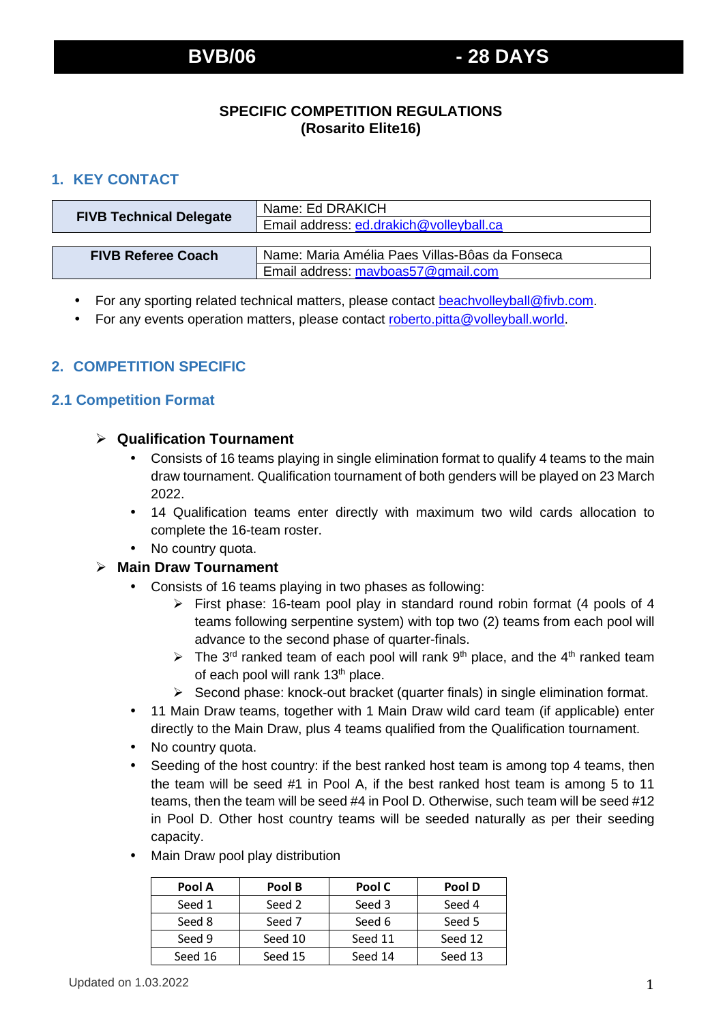# **SPECIFIC COMPETITION REGULATIONS (Rosarito Elite16)**

# **1. KEY CONTACT**

| <b>FIVB Technical Delegate</b> | Name: Ed DRAKICH                               |  |
|--------------------------------|------------------------------------------------|--|
|                                | Email address: ed.drakich@volleyball.ca        |  |
|                                |                                                |  |
| <b>FIVB Referee Coach</b>      | Name: Maria Amélia Paes Villas-Bôas da Fonseca |  |
|                                | Email address: mavboas57@gmail.com             |  |

- For any sporting related technical matters, please contact beachvolleyball@fivb.com.
- For any events operation matters, please contact roberto.pitta@volleyball.world.

# **2. COMPETITION SPECIFIC**

## **2.1 Competition Format**

### **Qualification Tournament**

- Consists of 16 teams playing in single elimination format to qualify 4 teams to the main draw tournament. Qualification tournament of both genders will be played on 23 March 2022.
- 14 Qualification teams enter directly with maximum two wild cards allocation to complete the 16-team roster.
- No country quota.

#### **Main Draw Tournament**

- Consists of 16 teams playing in two phases as following:
	- First phase: 16-team pool play in standard round robin format (4 pools of 4 teams following serpentine system) with top two (2) teams from each pool will advance to the second phase of quarter-finals.
	- $\triangleright$  The 3<sup>rd</sup> ranked team of each pool will rank 9<sup>th</sup> place, and the 4<sup>th</sup> ranked team of each pool will rank 13<sup>th</sup> place.
	- $\triangleright$  Second phase: knock-out bracket (quarter finals) in single elimination format.
- 11 Main Draw teams, together with 1 Main Draw wild card team (if applicable) enter directly to the Main Draw, plus 4 teams qualified from the Qualification tournament.
- No country quota.
- Seeding of the host country: if the best ranked host team is among top 4 teams, then the team will be seed #1 in Pool A, if the best ranked host team is among 5 to 11 teams, then the team will be seed #4 in Pool D. Otherwise, such team will be seed #12 in Pool D. Other host country teams will be seeded naturally as per their seeding capacity.

| Pool A  | Pool B  | Pool C  | Pool D  |
|---------|---------|---------|---------|
| Seed 1  | Seed 2  | Seed 3  | Seed 4  |
| Seed 8  | Seed 7  | Seed 6  | Seed 5  |
| Seed 9  | Seed 10 | Seed 11 | Seed 12 |
| Seed 16 | Seed 15 | Seed 14 | Seed 13 |

• Main Draw pool play distribution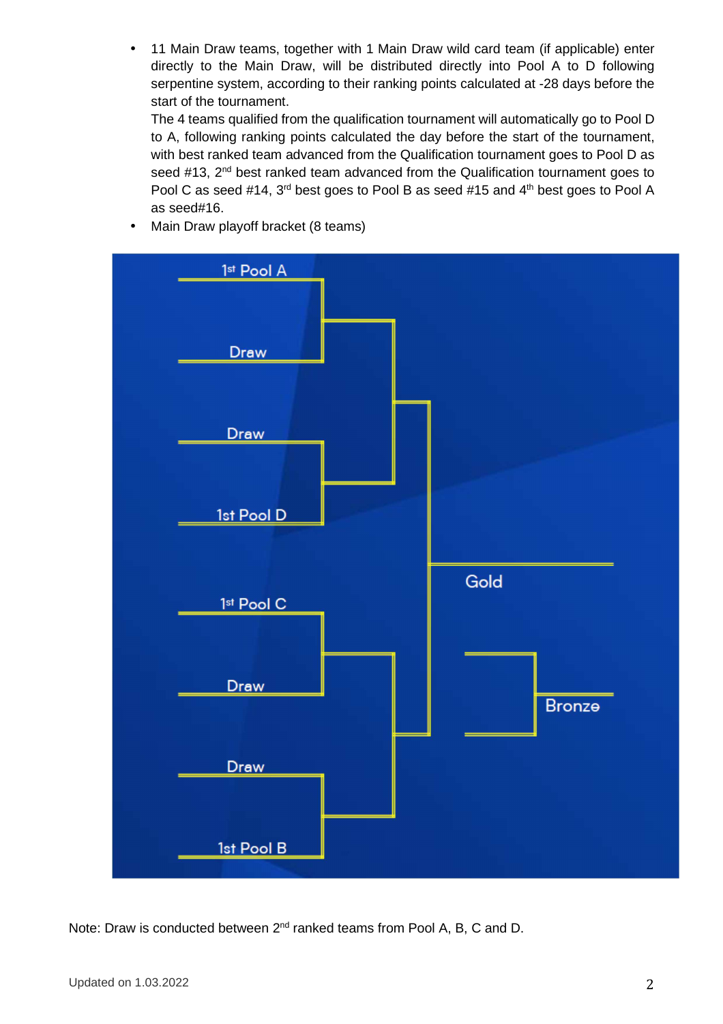• 11 Main Draw teams, together with 1 Main Draw wild card team (if applicable) enter directly to the Main Draw, will be distributed directly into Pool A to D following serpentine system, according to their ranking points calculated at -28 days before the start of the tournament.

The 4 teams qualified from the qualification tournament will automatically go to Pool D to A, following ranking points calculated the day before the start of the tournament, with best ranked team advanced from the Qualification tournament goes to Pool D as seed  $#13$ ,  $2<sup>nd</sup>$  best ranked team advanced from the Qualification tournament goes to Pool C as seed #14, 3<sup>rd</sup> best goes to Pool B as seed #15 and 4<sup>th</sup> best goes to Pool A as seed#16.



• Main Draw playoff bracket (8 teams)

Note: Draw is conducted between 2<sup>nd</sup> ranked teams from Pool A, B, C and D.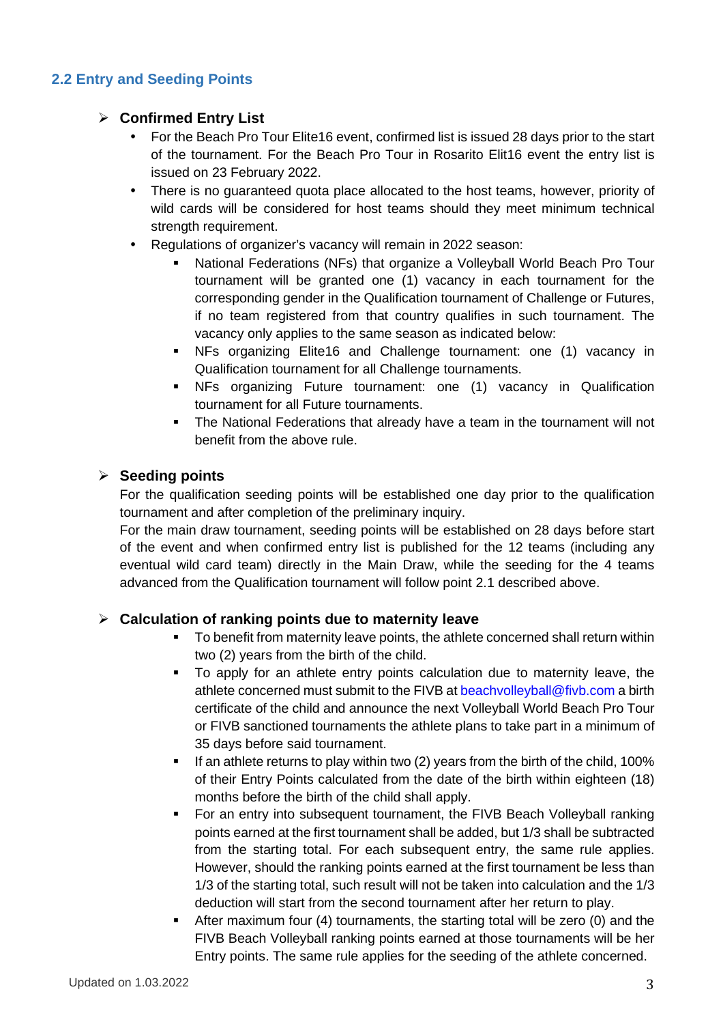# **2.2 Entry and Seeding Points**

## **Confirmed Entry List**

- For the Beach Pro Tour Elite16 event, confirmed list is issued 28 days prior to the start of the tournament. For the Beach Pro Tour in Rosarito Elit16 event the entry list is issued on 23 February 2022.
- There is no quaranteed quota place allocated to the host teams, however, priority of wild cards will be considered for host teams should they meet minimum technical strength requirement.
- Regulations of organizer's vacancy will remain in 2022 season:
	- National Federations (NFs) that organize a Volleyball World Beach Pro Tour tournament will be granted one (1) vacancy in each tournament for the corresponding gender in the Qualification tournament of Challenge or Futures, if no team registered from that country qualifies in such tournament. The vacancy only applies to the same season as indicated below:
	- NFs organizing Elite16 and Challenge tournament: one (1) vacancy in Qualification tournament for all Challenge tournaments.
	- NFs organizing Future tournament: one (1) vacancy in Qualification tournament for all Future tournaments.
	- The National Federations that already have a team in the tournament will not benefit from the above rule.

## **Seeding points**

For the qualification seeding points will be established one day prior to the qualification tournament and after completion of the preliminary inquiry.

For the main draw tournament, seeding points will be established on 28 days before start of the event and when confirmed entry list is published for the 12 teams (including any eventual wild card team) directly in the Main Draw, while the seeding for the 4 teams advanced from the Qualification tournament will follow point 2.1 described above.

## **Calculation of ranking points due to maternity leave**

- To benefit from maternity leave points, the athlete concerned shall return within two (2) years from the birth of the child.
- To apply for an athlete entry points calculation due to maternity leave, the athlete concerned must submit to the FIVB at beachvolleyball@fivb.com a birth certificate of the child and announce the next Volleyball World Beach Pro Tour or FIVB sanctioned tournaments the athlete plans to take part in a minimum of 35 days before said tournament.
- If an athlete returns to play within two (2) years from the birth of the child, 100% of their Entry Points calculated from the date of the birth within eighteen (18) months before the birth of the child shall apply.
- For an entry into subsequent tournament, the FIVB Beach Volleyball ranking points earned at the first tournament shall be added, but 1/3 shall be subtracted from the starting total. For each subsequent entry, the same rule applies. However, should the ranking points earned at the first tournament be less than 1/3 of the starting total, such result will not be taken into calculation and the 1/3 deduction will start from the second tournament after her return to play.
- After maximum four (4) tournaments, the starting total will be zero (0) and the FIVB Beach Volleyball ranking points earned at those tournaments will be her Entry points. The same rule applies for the seeding of the athlete concerned.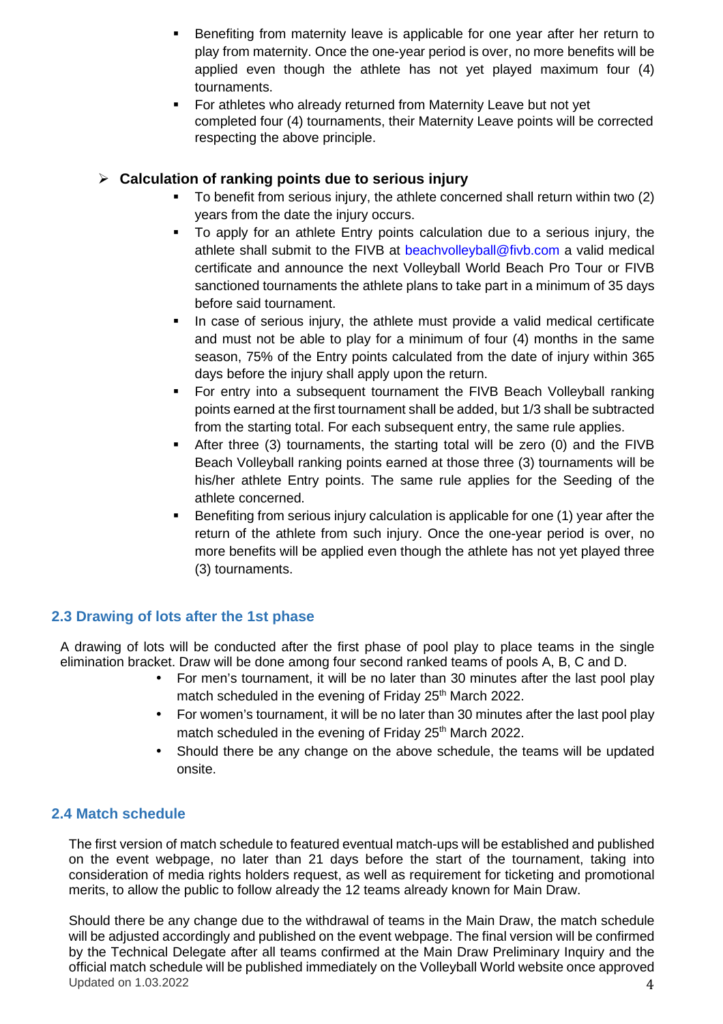- Benefiting from maternity leave is applicable for one year after her return to play from maternity. Once the one-year period is over, no more benefits will be applied even though the athlete has not yet played maximum four (4) tournaments.
- For athletes who already returned from Maternity Leave but not yet completed four (4) tournaments, their Maternity Leave points will be corrected respecting the above principle.

# **Calculation of ranking points due to serious injury**

- To benefit from serious injury, the athlete concerned shall return within two (2) years from the date the injury occurs.
- To apply for an athlete Entry points calculation due to a serious injury, the athlete shall submit to the FIVB at beachvolleyball@fivb.com a valid medical certificate and announce the next Volleyball World Beach Pro Tour or FIVB sanctioned tournaments the athlete plans to take part in a minimum of 35 days before said tournament.
- In case of serious injury, the athlete must provide a valid medical certificate and must not be able to play for a minimum of four (4) months in the same season, 75% of the Entry points calculated from the date of injury within 365 days before the injury shall apply upon the return.
- For entry into a subsequent tournament the FIVB Beach Volleyball ranking points earned at the first tournament shall be added, but 1/3 shall be subtracted from the starting total. For each subsequent entry, the same rule applies.
- After three (3) tournaments, the starting total will be zero (0) and the FIVB Beach Volleyball ranking points earned at those three (3) tournaments will be his/her athlete Entry points. The same rule applies for the Seeding of the athlete concerned.
- Benefiting from serious injury calculation is applicable for one (1) year after the return of the athlete from such injury. Once the one-year period is over, no more benefits will be applied even though the athlete has not yet played three (3) tournaments.

# **2.3 Drawing of lots after the 1st phase**

A drawing of lots will be conducted after the first phase of pool play to place teams in the single elimination bracket. Draw will be done among four second ranked teams of pools A, B, C and D.

- For men's tournament, it will be no later than 30 minutes after the last pool play match scheduled in the evening of Friday 25<sup>th</sup> March 2022.
- For women's tournament, it will be no later than 30 minutes after the last pool play match scheduled in the evening of Friday 25<sup>th</sup> March 2022.
- Should there be any change on the above schedule, the teams will be updated onsite.

# **2.4 Match schedule**

The first version of match schedule to featured eventual match-ups will be established and published on the event webpage, no later than 21 days before the start of the tournament, taking into consideration of media rights holders request, as well as requirement for ticketing and promotional merits, to allow the public to follow already the 12 teams already known for Main Draw.

Updated on  $1.03.2022$   $4.00000000$   $4.00000000$   $4.00000000$   $4.00000000$   $4.00000000$   $4.00000000$   $4.00000000$   $4.00000000$   $4.00000000$   $4.00000000$   $4.00000000$   $4.00000000$   $4.00000000$   $4.00000000$   $4.00000000$   $4.$ Should there be any change due to the withdrawal of teams in the Main Draw, the match schedule will be adjusted accordingly and published on the event webpage. The final version will be confirmed by the Technical Delegate after all teams confirmed at the Main Draw Preliminary Inquiry and the official match schedule will be published immediately on the Volleyball World website once approved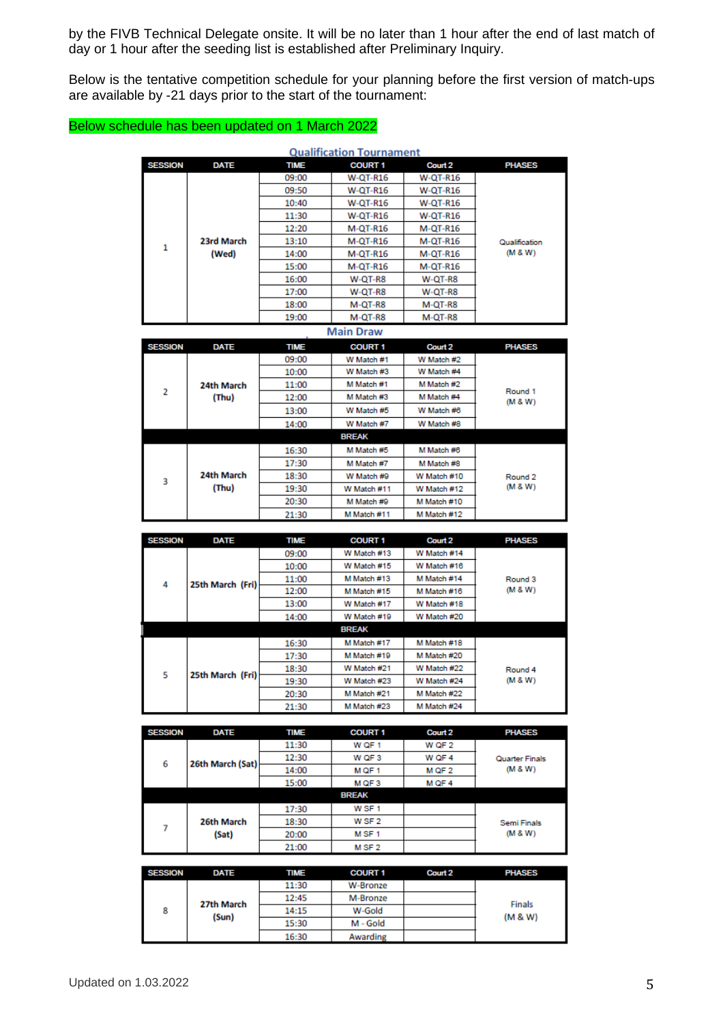by the FIVB Technical Delegate onsite. It will be no later than 1 hour after the end of last match of day or 1 hour after the seeding list is established after Preliminary Inquiry.

Below is the tentative competition schedule for your planning before the first version of match-ups are available by -21 days prior to the start of the tournament:

### Below schedule has been updated on 1 March 2022

|                | <b>Qualification Tournament</b> |             |                  |                    |                    |  |
|----------------|---------------------------------|-------------|------------------|--------------------|--------------------|--|
| <b>SESSION</b> | <b>DATE</b>                     | <b>TIME</b> | <b>COURT 1</b>   | Court 2            | <b>PHASES</b>      |  |
|                |                                 | 09:00       | <b>W-QT-R16</b>  | <b>W-QT-R16</b>    |                    |  |
|                |                                 | 09:50       | <b>W-QT-R16</b>  | <b>W-QT-R16</b>    |                    |  |
|                |                                 | 10:40       | <b>W-QT-R16</b>  | W-QT-R16           |                    |  |
|                |                                 | 11:30       | <b>W-QT-R16</b>  | W-QT-R16           |                    |  |
|                |                                 | 12:20       | <b>M-QT-R16</b>  | M-QT-R16           |                    |  |
| 1              | 23rd March                      | 13:10       | <b>M-QT-R16</b>  | M-QT-R16           | Qualification      |  |
|                | (Wed)                           | 14:00       | <b>M-QT-R16</b>  | M-QT-R16           | (M 8 W)            |  |
|                |                                 | 15:00       | <b>M-OT-R16</b>  | M-OT-R16           |                    |  |
|                |                                 | 16:00       | W-QT-R8          | W-QT-R8            |                    |  |
|                |                                 | 17:00       | W-QT-R8          | W-QT-R8            |                    |  |
|                |                                 | 18:00       | M-QT-R8          | M-QT-R8            |                    |  |
|                |                                 | 19:00       | M-QT-R8          | M-QT-R8            |                    |  |
|                |                                 |             | <b>Main Draw</b> |                    |                    |  |
| <b>SESSION</b> | <b>DATE</b>                     | <b>TIME</b> | <b>COURT 1</b>   | Court <sub>2</sub> | <b>PHASES</b>      |  |
|                |                                 | 09:00       | W Match #1       | W Match #2         |                    |  |
|                |                                 | 10:00       | W Match #3       | W Match #4         |                    |  |
|                | 24th March                      | 11:00       | M Match #1       | M Match #2         |                    |  |
| $\overline{2}$ | (Thu)                           | 12:00       | M Match #3       | M Match #4         | Round 1<br>(M 8 W) |  |
|                |                                 | 13:00       | W Match #5       | W Match #6         |                    |  |
|                |                                 | 14:00       | W Match #7       | W Match #8         |                    |  |
|                |                                 |             | <b>BREAK</b>     |                    |                    |  |
|                |                                 | 16:30       | M Match #5       | M Match #6         |                    |  |
|                |                                 | 17:30       | M Match #7       | M Match #8         |                    |  |
| 3              | 24th March                      | 18:30       | W Match #9       | W Match #10        | Round <sub>2</sub> |  |
|                | (Thu)                           | 19:30       | W Match #11      | W Match #12        | (W 8 W)            |  |
|                |                                 | 20:30       | M Match #9       | M Match #10        |                    |  |
|                |                                 | 21:30       | M Match #11      | M Match #12        |                    |  |
|                |                                 |             |                  |                    |                    |  |
| <b>SESSION</b> | <b>DATE</b>                     | <b>TIME</b> | <b>COURT 1</b>   | Court 2            | <b>PHASES</b>      |  |
|                |                                 | 09:00       | W Match #13      | W Match #14        |                    |  |
|                |                                 | 10:00       | W Match #15      | W Match #16        |                    |  |
| 4              | 25th March (Fri)                | 11:00       | M Match #13      | M Match #14        | Round <sub>3</sub> |  |
|                |                                 | 12:00       | M Match #15      | M Match #16        | (W 8 W)            |  |
|                |                                 | 13:00       | W Match #17      | W Match #18        |                    |  |
|                |                                 | 14:00       | W Match #19      | W Match #20        |                    |  |

|                       |       | 14:00       | W Match #19  | W Match #20 |  |
|-----------------------|-------|-------------|--------------|-------------|--|
|                       |       |             | <b>BREAK</b> |             |  |
|                       |       | 16:30       | M Match #17  | M Match #18 |  |
|                       |       | 17:30       | M Match #19  | M Match #20 |  |
| 25th March (Fri)<br>5 | 18:30 | W Match #21 | W Match #22  | Round 4     |  |
|                       | 19:30 | W Match #23 | W Match #24  | (M 8 W)     |  |
|                       |       | 20:30       | M Match #21  | M Match #22 |  |
|                       |       | 21:30       | M Match #23  | M Match #24 |  |
|                       |       |             |              |             |  |

| <b>SESSION</b> | <b>DATE</b>      | <b>TIME</b> | <b>COURT 1</b>    | Court 2 | <b>PHASES</b>      |
|----------------|------------------|-------------|-------------------|---------|--------------------|
|                |                  | 11:30       | W QF 1            | W QF 2  |                    |
| 6              | 26th March (Sat) | 12:30       | W QF 3            | W QF 4  | Quarter Finals     |
|                |                  | 14:00       | M QF 1            | M QF 2  | (M 8 W)            |
|                |                  | 15:00       | M QF 3            | M QF 4  |                    |
|                |                  |             | <b>BREAK</b>      |         |                    |
|                |                  | 17:30       | W <sub>SF1</sub>  |         |                    |
| 7              | 26th March       | 18:30       | W SF 2            |         | <b>Semi Finals</b> |
|                | (Sat)            | 20:00       | M SF 1            |         | (M 8 W)            |
|                |                  | 21:00       | M SF <sub>2</sub> |         |                    |

| <b>SESSION</b>           | <b>DATE</b> | <b>TIME</b> | <b>COURT 1</b> | Court 2 | <b>PHASES</b> |
|--------------------------|-------------|-------------|----------------|---------|---------------|
| 27th March<br>8<br>(Sun) |             | 11:30       | W-Bronze       |         |               |
|                          |             | 12:45       | M-Bronze       |         | Finals        |
|                          |             | 14:15       | W-Gold         |         | (M 8 W)       |
|                          |             | 15:30       | M - Gold       |         |               |
|                          |             | 16:30       | Awarding       |         |               |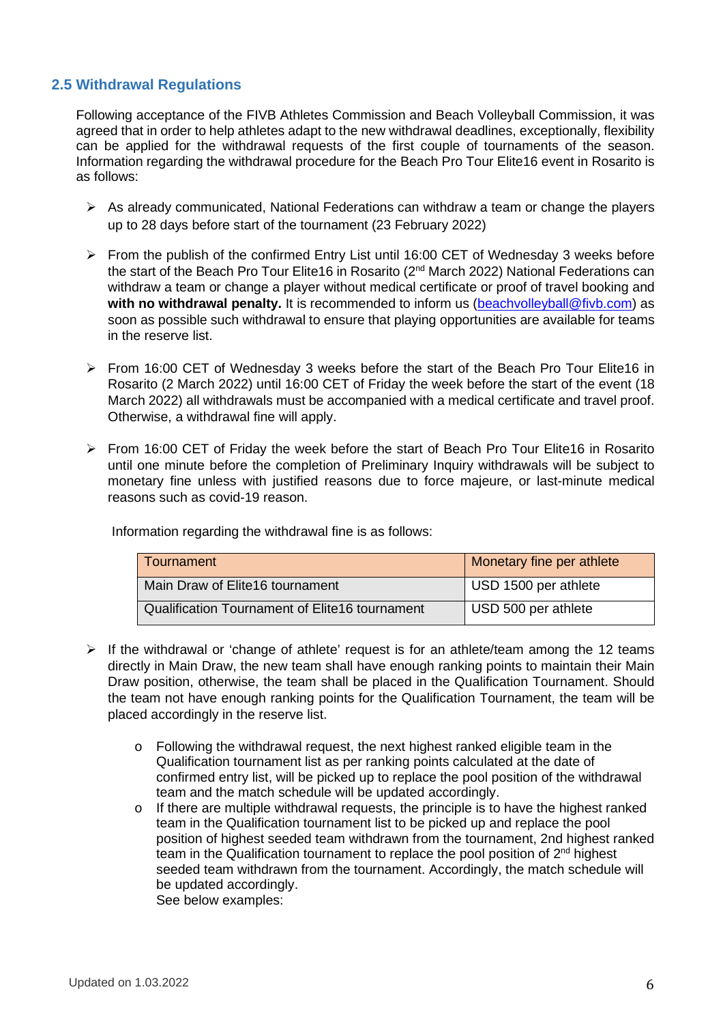## **2.5 Withdrawal Regulations**

Following acceptance of the FIVB Athletes Commission and Beach Volleyball Commission, it was agreed that in order to help athletes adapt to the new withdrawal deadlines, exceptionally, flexibility can be applied for the withdrawal requests of the first couple of tournaments of the season. Information regarding the withdrawal procedure for the Beach Pro Tour Elite16 event in Rosarito is as follows:

- $\triangleright$  As already communicated, National Federations can withdraw a team or change the players up to 28 days before start of the tournament (23 February 2022)
- $\triangleright$  From the publish of the confirmed Entry List until 16:00 CET of Wednesday 3 weeks before the start of the Beach Pro Tour Elite16 in Rosarito (2<sup>nd</sup> March 2022) National Federations can withdraw a team or change a player without medical certificate or proof of travel booking and **with no withdrawal penalty.** It is recommended to inform us (beachvolleyball@fivb.com) as soon as possible such withdrawal to ensure that playing opportunities are available for teams in the reserve list.
- $\triangleright$  From 16:00 CET of Wednesday 3 weeks before the start of the Beach Pro Tour Elite16 in Rosarito (2 March 2022) until 16:00 CET of Friday the week before the start of the event (18 March 2022) all withdrawals must be accompanied with a medical certificate and travel proof. Otherwise, a withdrawal fine will apply.
- $\triangleright$  From 16:00 CET of Friday the week before the start of Beach Pro Tour Elite16 in Rosarito until one minute before the completion of Preliminary Inquiry withdrawals will be subject to monetary fine unless with justified reasons due to force majeure, or last-minute medical reasons such as covid-19 reason.

Information regarding the withdrawal fine is as follows:

| Tournament                                     | Monetary fine per athlete |
|------------------------------------------------|---------------------------|
| Main Draw of Elite16 tournament                | USD 1500 per athlete      |
| Qualification Tournament of Elite16 tournament | USD 500 per athlete       |

- $\triangleright$  If the withdrawal or 'change of athlete' request is for an athlete/team among the 12 teams directly in Main Draw, the new team shall have enough ranking points to maintain their Main Draw position, otherwise, the team shall be placed in the Qualification Tournament. Should the team not have enough ranking points for the Qualification Tournament, the team will be placed accordingly in the reserve list.
	- $\circ$  Following the withdrawal request, the next highest ranked eligible team in the Qualification tournament list as per ranking points calculated at the date of confirmed entry list, will be picked up to replace the pool position of the withdrawal team and the match schedule will be updated accordingly.
	- $\circ$  If there are multiple withdrawal requests, the principle is to have the highest ranked team in the Qualification tournament list to be picked up and replace the pool position of highest seeded team withdrawn from the tournament, 2nd highest ranked team in the Qualification tournament to replace the pool position of  $2<sup>nd</sup>$  highest seeded team withdrawn from the tournament. Accordingly, the match schedule will be updated accordingly. See below examples: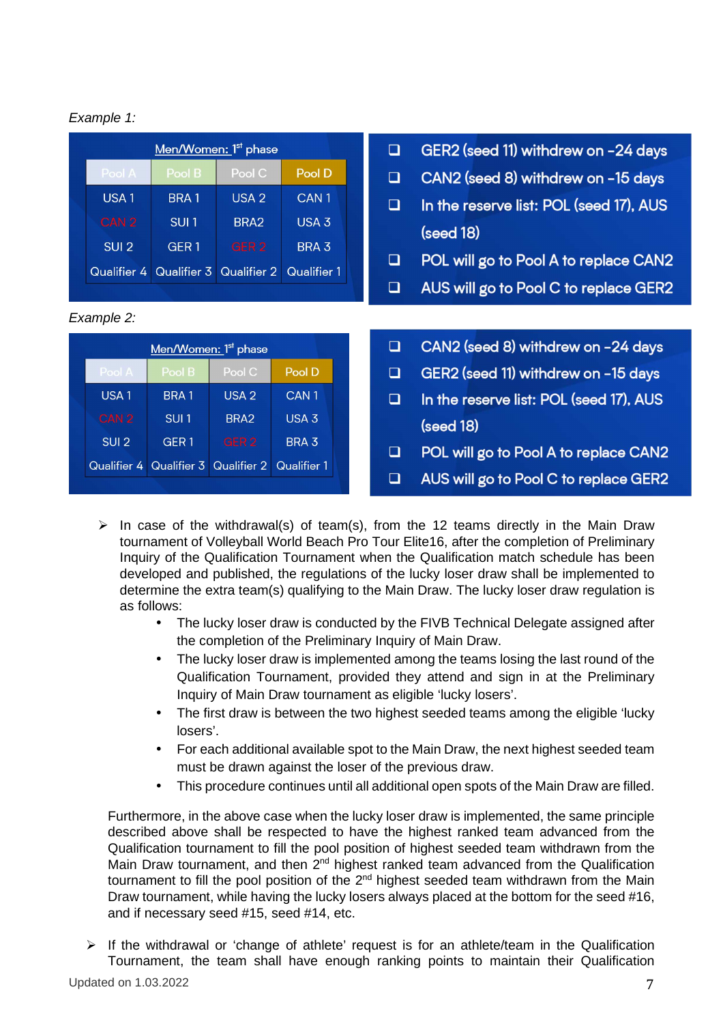### Example 1:

| Men/Women: 1 <sup>st</sup> phase |                  |                  |                  |  |  |
|----------------------------------|------------------|------------------|------------------|--|--|
| Pool A                           | Pool B           | Pool C           | Pool D           |  |  |
| USA <sub>1</sub>                 | <b>BRA1</b>      | USA <sub>2</sub> | CAN <sub>1</sub> |  |  |
| CAN <sub>2</sub>                 | SUI <sub>1</sub> | BRA <sub>2</sub> | $USA$ $3$        |  |  |
| SUI <sub>2</sub>                 | GER <sub>1</sub> | GER <sub>2</sub> | BRA <sub>3</sub> |  |  |
| Qualifier 4                      | Qualifier 3      | Qualifier 2      | Qualifier 1      |  |  |

#### Example 2:

| Men/Women: 1 <sup>st</sup> phase |                  |                    |                    |  |  |
|----------------------------------|------------------|--------------------|--------------------|--|--|
| Pool A                           | Pool B           | Pool C             | Pool D             |  |  |
| USA <sub>1</sub>                 | <b>BRA1</b>      | USA <sub>2</sub>   | CAN <sub>1</sub>   |  |  |
| CAN <sub>2</sub>                 | SUI <sub>1</sub> | BRA <sub>2</sub>   | USA <sub>3</sub>   |  |  |
| SUI <sub>2</sub>                 | GER <sub>1</sub> | GER <sub>2</sub>   | BRA <sub>3</sub>   |  |  |
| Qualifier 4                      | Qualifier 3      | <b>Qualifier 2</b> | <b>Qualifier 1</b> |  |  |
|                                  |                  |                    |                    |  |  |

- $\Box$ GER2 (seed 11) withdrew on -24 days
- CAN2 (seed 8) withdrew on -15 days  $\Box$
- $\Box$ In the reserve list: POL (seed 17), AUS  $(s$ eed  $18)$
- $\Box$ POL will go to Pool A to replace CAN2
- $\Box$ AUS will go to Pool C to replace GER2
- CAN2 (seed 8) withdrew on -24 days  $\Box$
- $\Box$ GER2 (seed 11) withdrew on -15 days
- In the reserve list: POL (seed 17), AUS  $\Box$ (seed 18)
- $\Box$ POL will go to Pool A to replace CAN2
- $\Box$ AUS will go to Pool C to replace GER2
- $\triangleright$  In case of the withdrawal(s) of team(s), from the 12 teams directly in the Main Draw tournament of Volleyball World Beach Pro Tour Elite16, after the completion of Preliminary Inquiry of the Qualification Tournament when the Qualification match schedule has been developed and published, the regulations of the lucky loser draw shall be implemented to determine the extra team(s) qualifying to the Main Draw. The lucky loser draw regulation is as follows:
	- The lucky loser draw is conducted by the FIVB Technical Delegate assigned after the completion of the Preliminary Inquiry of Main Draw.
	- The lucky loser draw is implemented among the teams losing the last round of the Qualification Tournament, provided they attend and sign in at the Preliminary Inquiry of Main Draw tournament as eligible 'lucky losers'.
	- The first draw is between the two highest seeded teams among the eligible 'lucky losers'.
	- For each additional available spot to the Main Draw, the next highest seeded team must be drawn against the loser of the previous draw.
	- This procedure continues until all additional open spots of the Main Draw are filled.

Furthermore, in the above case when the lucky loser draw is implemented, the same principle described above shall be respected to have the highest ranked team advanced from the Qualification tournament to fill the pool position of highest seeded team withdrawn from the Main Draw tournament, and then 2<sup>nd</sup> highest ranked team advanced from the Qualification tournament to fill the pool position of the 2<sup>nd</sup> highest seeded team withdrawn from the Main Draw tournament, while having the lucky losers always placed at the bottom for the seed #16, and if necessary seed #15, seed #14, etc.

 $\triangleright$  If the withdrawal or 'change of athlete' request is for an athlete/team in the Qualification Tournament, the team shall have enough ranking points to maintain their Qualification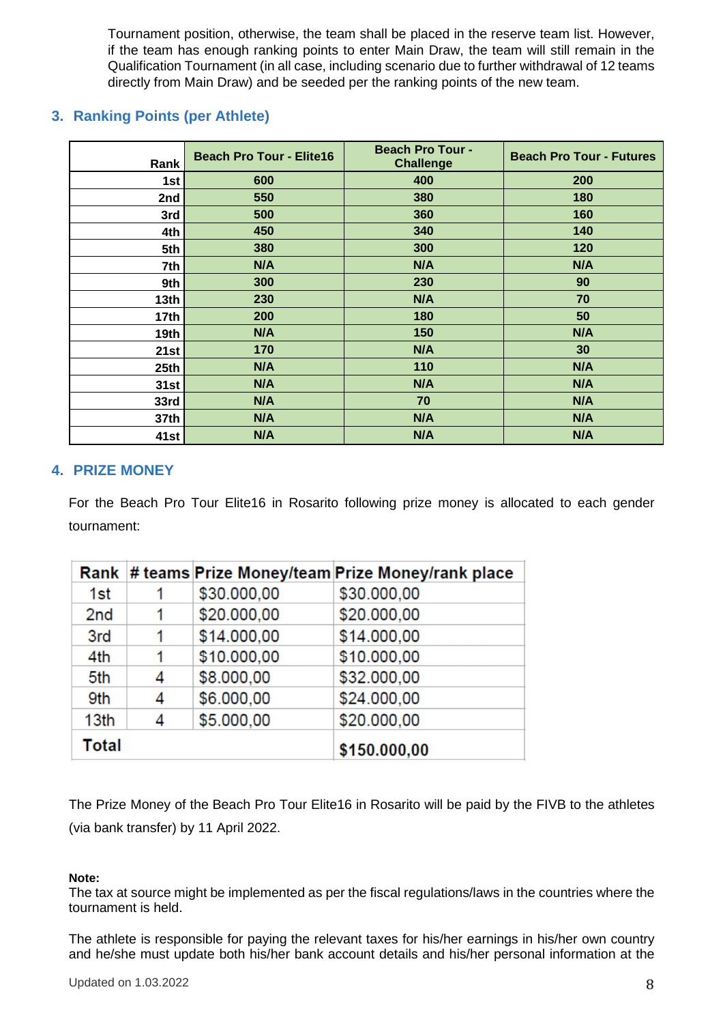Tournament position, otherwise, the team shall be placed in the reserve team list. However, if the team has enough ranking points to enter Main Draw, the team will still remain in the Qualification Tournament (in all case, including scenario due to further withdrawal of 12 teams directly from Main Draw) and be seeded per the ranking points of the new team.

# **3. Ranking Points (per Athlete)**

| Rank             | <b>Beach Pro Tour - Elite16</b> | <b>Beach Pro Tour -</b><br><b>Challenge</b> | <b>Beach Pro Tour - Futures</b> |
|------------------|---------------------------------|---------------------------------------------|---------------------------------|
| 1st              | 600                             | 400                                         | 200                             |
| 2nd              | 550                             | 380                                         | 180                             |
| 3rd              | 500                             | 360                                         | 160                             |
| 4th              | 450                             | 340                                         | 140                             |
| 5th              | 380                             | 300                                         | 120                             |
| 7th              | N/A                             | N/A                                         | N/A                             |
| 9th              | 300                             | 230                                         | 90                              |
| 13 <sub>th</sub> | 230                             | N/A                                         | 70                              |
| 17 <sub>th</sub> | 200                             | 180                                         | 50                              |
| 19th             | N/A                             | 150                                         | N/A                             |
| 21st             | 170                             | N/A                                         | 30                              |
| 25 <sub>th</sub> | N/A                             | 110                                         | N/A                             |
| 31st             | N/A                             | N/A                                         | N/A                             |
| 33rd             | N/A                             | 70                                          | N/A                             |
| 37th             | N/A                             | N/A                                         | N/A                             |
| 41st             | N/A                             | N/A                                         | N/A                             |

## **4. PRIZE MONEY**

For the Beach Pro Tour Elite16 in Rosarito following prize money is allocated to each gender tournament:

| Rank            |   |             | # teams Prize Money/team Prize Money/rank place |
|-----------------|---|-------------|-------------------------------------------------|
| 1st             | 1 | \$30.000,00 | \$30.000,00                                     |
| 2 <sub>nd</sub> | 1 | \$20,000,00 | \$20.000,00                                     |
| 3rd             | 1 | \$14.000,00 | \$14.000,00                                     |
| 4th             | 1 | \$10,000,00 | \$10.000,00                                     |
| 5th             | 4 | \$8.000,00  | \$32.000,00                                     |
| 9th             | 4 | \$6.000,00  | \$24.000,00                                     |
| 13th            | 4 | \$5.000,00  | \$20,000,00                                     |
| <b>Total</b>    |   |             | \$150.000,00                                    |

The Prize Money of the Beach Pro Tour Elite16 in Rosarito will be paid by the FIVB to the athletes (via bank transfer) by 11 April 2022.

#### **Note:**

The tax at source might be implemented as per the fiscal regulations/laws in the countries where the tournament is held.

The athlete is responsible for paying the relevant taxes for his/her earnings in his/her own country and he/she must update both his/her bank account details and his/her personal information at the